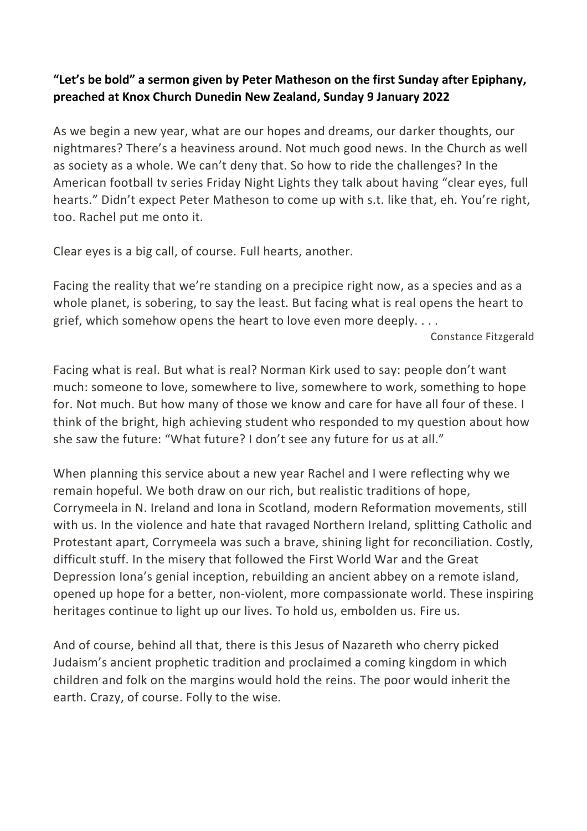## "Let's be bold" a sermon given by Peter Matheson on the first Sunday after Epiphany, preached at Knox Church Dunedin New Zealand, Sunday 9 January 2022

As we begin a new year, what are our hopes and dreams, our darker thoughts, our nightmares? There's a heaviness around. Not much good news. In the Church as well as society as a whole. We can't deny that. So how to ride the challenges? In the American football tv series Friday Night Lights they talk about having "clear eyes, full hearts." Didn't expect Peter Matheson to come up with s.t. like that, eh. You're right, too. Rachel put me onto it.

Clear eyes is a big call, of course. Full hearts, another.

Facing the reality that we're standing on a precipice right now, as a species and as a whole planet, is sobering, to say the least. But facing what is real opens the heart to grief, which somehow opens the heart to love even more deeply. . . .

Constance Fitzgerald

Facing what is real. But what is real? Norman Kirk used to say: people don't want much: someone to love, somewhere to live, somewhere to work, something to hope for. Not much. But how many of those we know and care for have all four of these. I think of the bright, high achieving student who responded to my question about how she saw the future: "What future? I don't see any future for us at all."

When planning this service about a new year Rachel and I were reflecting why we remain hopeful. We both draw on our rich, but realistic traditions of hope, Corrymeela in N. Ireland and Iona in Scotland, modern Reformation movements, still with us. In the violence and hate that ravaged Northern Ireland, splitting Catholic and Protestant apart, Corrymeela was such a brave, shining light for reconciliation. Costly, difficult stuff. In the misery that followed the First World War and the Great Depression Iona's genial inception, rebuilding an ancient abbey on a remote island, opened up hope for a better, non-violent, more compassionate world. These inspiring heritages continue to light up our lives. To hold us, embolden us. Fire us.

And of course, behind all that, there is this Jesus of Nazareth who cherry picked Judaism's ancient prophetic tradition and proclaimed a coming kingdom in which children and folk on the margins would hold the reins. The poor would inherit the earth. Crazy, of course. Folly to the wise.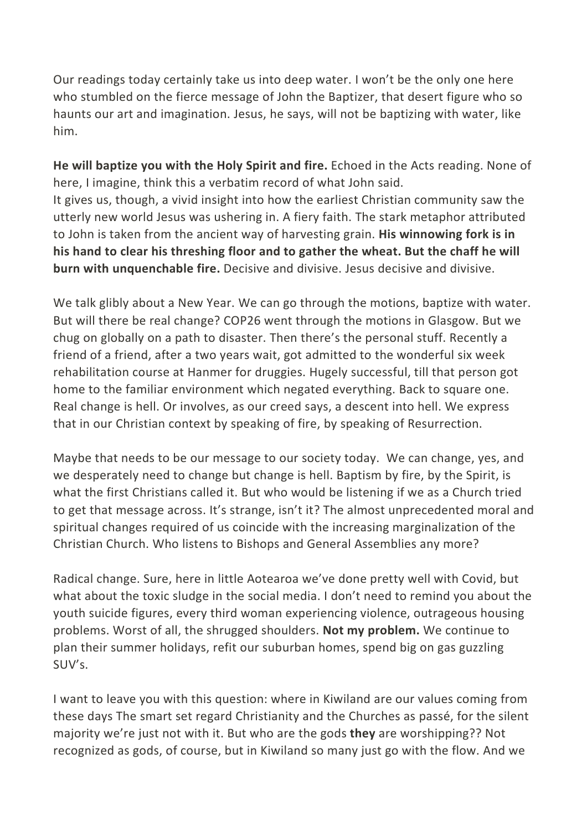Our readings today certainly take us into deep water. I won't be the only one here who stumbled on the fierce message of John the Baptizer, that desert figure who so haunts our art and imagination. Jesus, he says, will not be baptizing with water, like him.

He will baptize you with the Holy Spirit and fire. Echoed in the Acts reading. None of here, I imagine, think this a verbatim record of what John said. It gives us, though, a vivid insight into how the earliest Christian community saw the utterly new world Jesus was ushering in. A fiery faith. The stark metaphor attributed to John is taken from the ancient way of harvesting grain. His winnowing fork is in his hand to clear his threshing floor and to gather the wheat. But the chaff he will burn with unquenchable fire. Decisive and divisive. Jesus decisive and divisive.

We talk glibly about a New Year. We can go through the motions, baptize with water. But will there be real change? COP26 went through the motions in Glasgow. But we chug on globally on a path to disaster. Then there's the personal stuff. Recently a friend of a friend, after a two years wait, got admitted to the wonderful six week rehabilitation course at Hanmer for druggies. Hugely successful, till that person got home to the familiar environment which negated everything. Back to square one. Real change is hell. Or involves, as our creed says, a descent into hell. We express that in our Christian context by speaking of fire, by speaking of Resurrection.

Maybe that needs to be our message to our society today. We can change, yes, and we desperately need to change but change is hell. Baptism by fire, by the Spirit, is what the first Christians called it. But who would be listening if we as a Church tried to get that message across. It's strange, isn't it? The almost unprecedented moral and spiritual changes required of us coincide with the increasing marginalization of the Christian Church. Who listens to Bishops and General Assemblies any more?

Radical change. Sure, here in little Aotearoa we've done pretty well with Covid, but what about the toxic sludge in the social media. I don't need to remind you about the youth suicide figures, every third woman experiencing violence, outrageous housing problems. Worst of all, the shrugged shoulders. Not my problem. We continue to plan their summer holidays, refit our suburban homes, spend big on gas guzzling SUV's.

I want to leave you with this question: where in Kiwiland are our values coming from these days The smart set regard Christianity and the Churches as passé, for the silent majority we're just not with it. But who are the gods they are worshipping?? Not recognized as gods, of course, but in Kiwiland so many just go with the flow. And we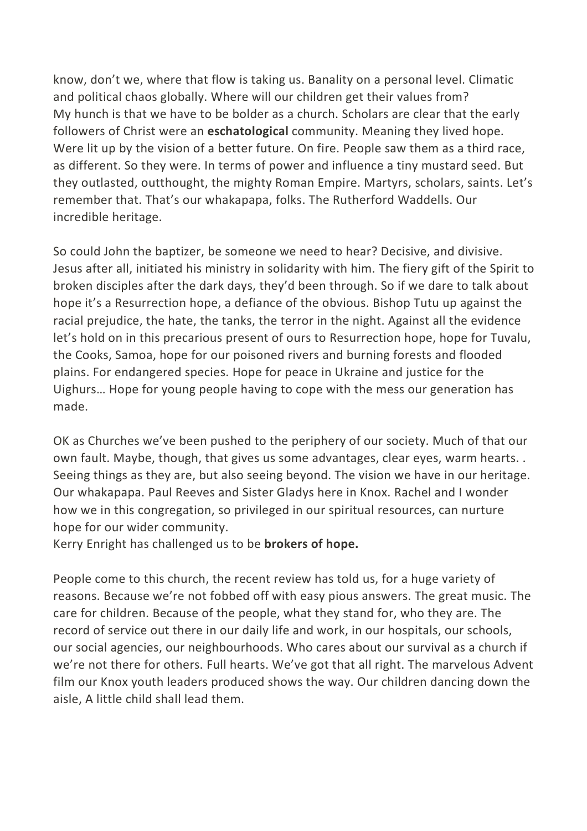know, don't we, where that flow is taking us. Banality on a personal level. Climatic and political chaos globally. Where will our children get their values from? My hunch is that we have to be bolder as a church. Scholars are clear that the early followers of Christ were an **eschatological** community. Meaning they lived hope. Were lit up by the vision of a better future. On fire. People saw them as a third race, as different. So they were. In terms of power and influence a tiny mustard seed. But they outlasted, outthought, the mighty Roman Empire. Martyrs, scholars, saints. Let's remember that. That's our whakapapa, folks. The Rutherford Waddells. Our incredible heritage.

So could John the baptizer, be someone we need to hear? Decisive, and divisive. Jesus after all, initiated his ministry in solidarity with him. The fiery gift of the Spirit to broken disciples after the dark days, they'd been through. So if we dare to talk about hope it's a Resurrection hope, a defiance of the obvious. Bishop Tutu up against the racial prejudice, the hate, the tanks, the terror in the night. Against all the evidence let's hold on in this precarious present of ours to Resurrection hope, hope for Tuvalu, the Cooks, Samoa, hope for our poisoned rivers and burning forests and flooded plains. For endangered species. Hope for peace in Ukraine and justice for the Uighurs… Hope for young people having to cope with the mess our generation has made.

OK as Churches we've been pushed to the periphery of our society. Much of that our own fault. Maybe, though, that gives us some advantages, clear eyes, warm hearts. . Seeing things as they are, but also seeing beyond. The vision we have in our heritage. Our whakapapa. Paul Reeves and Sister Gladys here in Knox. Rachel and I wonder how we in this congregation, so privileged in our spiritual resources, can nurture hope for our wider community.

Kerry Enright has challenged us to be brokers of hope.

People come to this church, the recent review has told us, for a huge variety of reasons. Because we're not fobbed off with easy pious answers. The great music. The care for children. Because of the people, what they stand for, who they are. The record of service out there in our daily life and work, in our hospitals, our schools, our social agencies, our neighbourhoods. Who cares about our survival as a church if we're not there for others. Full hearts. We've got that all right. The marvelous Advent film our Knox youth leaders produced shows the way. Our children dancing down the aisle, A little child shall lead them.